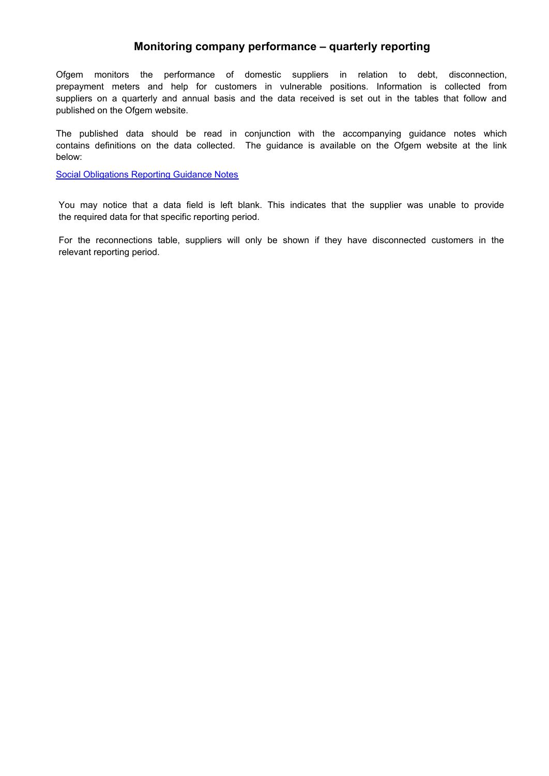## **Monitoring company performance – quarterly reporting**

Ofgem monitors the performance of domestic suppliers in relation to debt, disconnection, prepayment meters and help for customers in vulnerable positions. Information is collected from suppliers on a quarterly and annual basis and the data received is set out in the tables that follow and published on the Ofgem website.

The published data should be read in conjunction with the accompanying guidance notes which contains definitions on the data collected. The guidance is available on the Ofgem website at the link below:

[Social Obligations Reporting Guidance Notes](http://www.ofgem.gov.uk/Pages/MoreInformation.aspx?docid=91&refer=Sustainability/SocAction/Monitoring/SoObMonitor)

You may notice that a data field is left blank. This indicates that the supplier was unable to provide the required data for that specific reporting period.

For the reconnections table, suppliers will only be shown if they have disconnected customers in the relevant reporting period.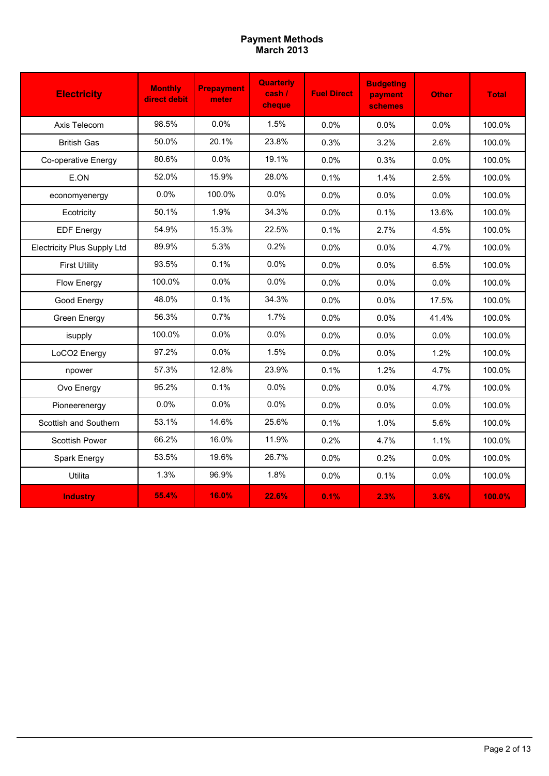# **March 2013 Payment Methods**

| <b>Electricity</b>                 | <b>Monthly</b><br>direct debit | <b>Prepayment</b><br>meter | <b>Quarterly</b><br>$\cosh l$<br>cheque | <b>Fuel Direct</b> | <b>Budgeting</b><br>payment<br><b>schemes</b> | <b>Other</b> | <b>Total</b> |
|------------------------------------|--------------------------------|----------------------------|-----------------------------------------|--------------------|-----------------------------------------------|--------------|--------------|
| Axis Telecom                       | 98.5%                          | 0.0%                       | 1.5%                                    | 0.0%               | $0.0\%$                                       | 0.0%         | 100.0%       |
| <b>British Gas</b>                 | 50.0%                          | 20.1%                      | 23.8%                                   | 0.3%               | 3.2%                                          | 2.6%         | 100.0%       |
| Co-operative Energy                | 80.6%                          | 0.0%                       | 19.1%                                   | 0.0%               | 0.3%                                          | 0.0%         | 100.0%       |
| E.ON                               | 52.0%                          | 15.9%                      | 28.0%                                   | 0.1%               | 1.4%                                          | 2.5%         | 100.0%       |
| economyenergy                      | 0.0%                           | 100.0%                     | 0.0%                                    | $0.0\%$            | 0.0%                                          | 0.0%         | 100.0%       |
| Ecotricity                         | 50.1%                          | 1.9%                       | 34.3%                                   | 0.0%               | 0.1%                                          | 13.6%        | 100.0%       |
| <b>EDF Energy</b>                  | 54.9%                          | 15.3%                      | 22.5%                                   | 0.1%               | 2.7%                                          | 4.5%         | 100.0%       |
| <b>Electricity Plus Supply Ltd</b> | 89.9%                          | 5.3%                       | 0.2%                                    | 0.0%               | 0.0%                                          | 4.7%         | 100.0%       |
| <b>First Utility</b>               | 93.5%                          | 0.1%                       | 0.0%                                    | 0.0%               | 0.0%                                          | 6.5%         | 100.0%       |
| Flow Energy                        | 100.0%                         | 0.0%                       | 0.0%                                    | $0.0\%$            | 0.0%                                          | 0.0%         | 100.0%       |
| Good Energy                        | 48.0%                          | 0.1%                       | 34.3%                                   | 0.0%               | 0.0%                                          | 17.5%        | 100.0%       |
| Green Energy                       | 56.3%                          | 0.7%                       | 1.7%                                    | $0.0\%$            | 0.0%                                          | 41.4%        | 100.0%       |
| isupply                            | 100.0%                         | 0.0%                       | 0.0%                                    | 0.0%               | 0.0%                                          | 0.0%         | 100.0%       |
| LoCO2 Energy                       | 97.2%                          | 0.0%                       | 1.5%                                    | 0.0%               | 0.0%                                          | 1.2%         | 100.0%       |
| npower                             | 57.3%                          | 12.8%                      | 23.9%                                   | 0.1%               | 1.2%                                          | 4.7%         | 100.0%       |
| Ovo Energy                         | 95.2%                          | 0.1%                       | 0.0%                                    | 0.0%               | 0.0%                                          | 4.7%         | 100.0%       |
| Pioneerenergy                      | 0.0%                           | 0.0%                       | 0.0%                                    | 0.0%               | 0.0%                                          | 0.0%         | 100.0%       |
| Scottish and Southern              | 53.1%                          | 14.6%                      | 25.6%                                   | 0.1%               | 1.0%                                          | 5.6%         | 100.0%       |
| Scottish Power                     | 66.2%                          | 16.0%                      | 11.9%                                   | 0.2%               | 4.7%                                          | 1.1%         | 100.0%       |
| Spark Energy                       | 53.5%                          | 19.6%                      | 26.7%                                   | 0.0%               | 0.2%                                          | 0.0%         | 100.0%       |
| Utilita                            | 1.3%                           | 96.9%                      | 1.8%                                    | 0.0%               | 0.1%                                          | 0.0%         | 100.0%       |
| <b>Industry</b>                    | 55.4%                          | 16.0%                      | 22.6%                                   | 0.1%               | 2.3%                                          | 3.6%         | 100.0%       |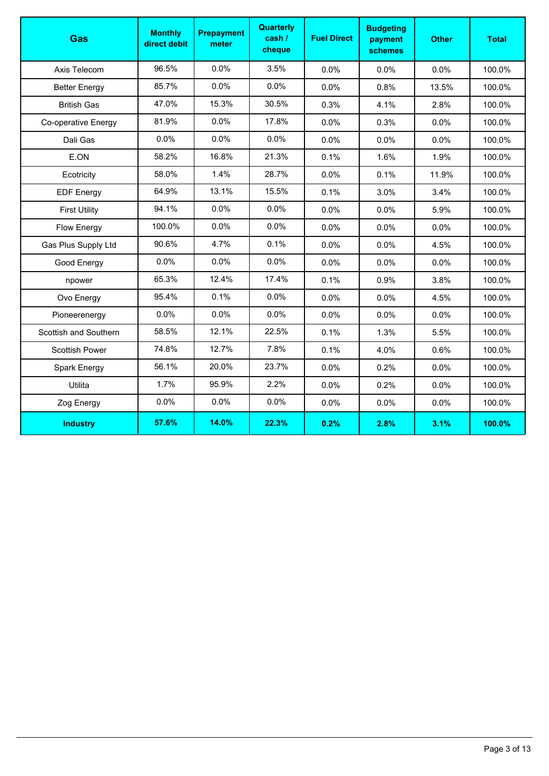| Gas                   | <b>Monthly</b><br>direct debit | <b>Prepayment</b><br>meter | Quarterly<br>cash /<br>cheque | <b>Fuel Direct</b> | <b>Budgeting</b><br>payment<br><b>schemes</b> | <b>Other</b> | <b>Total</b> |
|-----------------------|--------------------------------|----------------------------|-------------------------------|--------------------|-----------------------------------------------|--------------|--------------|
| Axis Telecom          | 96.5%                          | 0.0%                       | 3.5%                          | 0.0%               | 0.0%                                          | 0.0%         | 100.0%       |
| <b>Better Energy</b>  | 85.7%                          | 0.0%                       | 0.0%                          | $0.0\%$            | 0.8%                                          | 13.5%        | 100.0%       |
| <b>British Gas</b>    | 47.0%                          | 15.3%                      | 30.5%                         | 0.3%               | 4.1%                                          | 2.8%         | 100.0%       |
| Co-operative Energy   | 81.9%                          | 0.0%                       | 17.8%                         | 0.0%               | 0.3%                                          | 0.0%         | 100.0%       |
| Dali Gas              | 0.0%                           | 0.0%                       | 0.0%                          | 0.0%               | 0.0%                                          | 0.0%         | 100.0%       |
| E.ON                  | 58.2%                          | 16.8%                      | 21.3%                         | 0.1%               | 1.6%                                          | 1.9%         | 100.0%       |
| Ecotricity            | 58.0%                          | 1.4%                       | 28.7%                         | 0.0%               | 0.1%                                          | 11.9%        | 100.0%       |
| <b>EDF Energy</b>     | 64.9%                          | 13.1%                      | 15.5%                         | 0.1%               | 3.0%                                          | 3.4%         | 100.0%       |
| <b>First Utility</b>  | 94.1%                          | 0.0%                       | 0.0%                          | 0.0%               | 0.0%                                          | 5.9%         | 100.0%       |
| <b>Flow Energy</b>    | 100.0%                         | 0.0%                       | 0.0%                          | 0.0%               | 0.0%                                          | 0.0%         | 100.0%       |
| Gas Plus Supply Ltd   | 90.6%                          | 4.7%                       | 0.1%                          | 0.0%               | 0.0%                                          | 4.5%         | 100.0%       |
| Good Energy           | 0.0%                           | 0.0%                       | 0.0%                          | 0.0%               | 0.0%                                          | 0.0%         | 100.0%       |
| npower                | 65.3%                          | 12.4%                      | 17.4%                         | 0.1%               | 0.9%                                          | 3.8%         | 100.0%       |
| Ovo Energy            | 95.4%                          | 0.1%                       | 0.0%                          | 0.0%               | 0.0%                                          | 4.5%         | 100.0%       |
| Pioneerenergy         | 0.0%                           | 0.0%                       | 0.0%                          | 0.0%               | 0.0%                                          | 0.0%         | 100.0%       |
| Scottish and Southern | 58.5%                          | 12.1%                      | 22.5%                         | 0.1%               | 1.3%                                          | 5.5%         | 100.0%       |
| Scottish Power        | 74.8%                          | 12.7%                      | 7.8%                          | 0.1%               | 4.0%                                          | 0.6%         | 100.0%       |
| Spark Energy          | 56.1%                          | 20.0%                      | 23.7%                         | 0.0%               | 0.2%                                          | 0.0%         | 100.0%       |
| Utilita               | 1.7%                           | 95.9%                      | 2.2%                          | 0.0%               | 0.2%                                          | 0.0%         | 100.0%       |
| Zog Energy            | 0.0%                           | 0.0%                       | 0.0%                          | 0.0%               | 0.0%                                          | 0.0%         | 100.0%       |
| <b>Industry</b>       | 57.6%                          | 14.0%                      | 22.3%                         | 0.2%               | 2.8%                                          | 3.1%         | 100.0%       |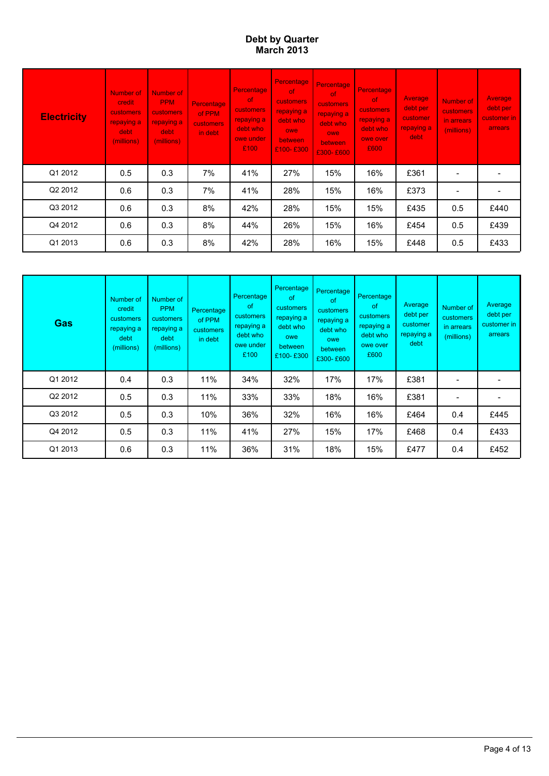### **March 2013 Debt by Quarter**

| <b>Electricity</b> | Number of<br><b>credit</b><br><b>customers</b><br>repaying a<br>debt.<br>(millions) | <b>Number of</b><br><b>PPM</b><br>customers<br>repaying a<br>debt.<br>(millions) | <b>Percentage</b><br>of PPM<br><b>customers</b><br>in debt | Percentage<br><sub>of</sub><br><b>customers</b><br>repaying a<br>debt who<br>owe under<br>£100 | Percentage<br>-of<br>customers<br>repaying a<br>debt who<br>owe<br><b>between</b><br>£100-£300 | <b>Percentage</b><br><sub>of</sub><br>customers<br>repaying a<br>debt who<br>owe<br>between,<br>£300-£600 | <b>Percentage</b><br>-of<br><b>customers</b><br>repaying a<br>debt who<br>owe over<br>£600 | Average<br>debt per<br>customer<br>repaying a<br>debt | Number of<br><b>customers</b><br>in arrears<br>(millions) | Average<br>debt per<br>customer in<br>arrears |
|--------------------|-------------------------------------------------------------------------------------|----------------------------------------------------------------------------------|------------------------------------------------------------|------------------------------------------------------------------------------------------------|------------------------------------------------------------------------------------------------|-----------------------------------------------------------------------------------------------------------|--------------------------------------------------------------------------------------------|-------------------------------------------------------|-----------------------------------------------------------|-----------------------------------------------|
| Q1 2012            | 0.5                                                                                 | 0.3                                                                              | 7%                                                         | 41%                                                                                            | 27%                                                                                            | 15%                                                                                                       | 16%                                                                                        | £361                                                  |                                                           |                                               |
| Q2 2012            | 0.6                                                                                 | 0.3                                                                              | 7%                                                         | 41%                                                                                            | 28%                                                                                            | 15%                                                                                                       | 16%                                                                                        | £373                                                  |                                                           |                                               |
| Q3 2012            | 0.6                                                                                 | 0.3                                                                              | 8%                                                         | 42%                                                                                            | 28%                                                                                            | 15%                                                                                                       | 15%                                                                                        | £435                                                  | 0.5                                                       | £440                                          |
| Q4 2012            | 0.6                                                                                 | 0.3                                                                              | 8%                                                         | 44%                                                                                            | 26%                                                                                            | 15%                                                                                                       | 16%                                                                                        | £454                                                  | 0.5                                                       | £439                                          |
| Q1 2013            | 0.6                                                                                 | 0.3                                                                              | 8%                                                         | 42%                                                                                            | 28%                                                                                            | 16%                                                                                                       | 15%                                                                                        | £448                                                  | 0.5                                                       | £433                                          |

| <b>Gas</b> | Number of<br>credit<br>customers<br>repaying a<br>debt<br>(millions) | Number of<br><b>PPM</b><br>customers<br>repaying a<br>debt<br>(millions) | Percentage<br>of PPM<br>customers<br>in debt | Percentage<br>οf<br>customers<br>repaying a<br>debt who<br>owe under<br>£100 | <b>Percentage</b><br>of<br>customers<br>repaying a<br>debt who<br>owe<br>between<br>£100-£300 | Percentage<br>of<br>customers<br>repaying a<br>debt who<br>owe<br>between<br>£300-£600 | Percentage<br>of<br>customers<br>repaying a<br>debt who<br>owe over<br>£600 | Average<br>debt per<br>customer<br>repaying a<br>debt | Number of<br>customers<br>in arrears<br>(millions) | Average<br>debt per<br>customer in<br>arrears |
|------------|----------------------------------------------------------------------|--------------------------------------------------------------------------|----------------------------------------------|------------------------------------------------------------------------------|-----------------------------------------------------------------------------------------------|----------------------------------------------------------------------------------------|-----------------------------------------------------------------------------|-------------------------------------------------------|----------------------------------------------------|-----------------------------------------------|
| Q1 2012    | 0.4                                                                  | 0.3                                                                      | 11%                                          | 34%                                                                          | 32%                                                                                           | 17%                                                                                    | 17%                                                                         | £381                                                  |                                                    |                                               |
| Q2 2012    | 0.5                                                                  | 0.3                                                                      | 11%                                          | 33%                                                                          | 33%                                                                                           | 18%                                                                                    | 16%                                                                         | £381                                                  |                                                    |                                               |
| Q3 2012    | 0.5                                                                  | 0.3                                                                      | 10%                                          | 36%                                                                          | 32%                                                                                           | 16%                                                                                    | 16%                                                                         | £464                                                  | 0.4                                                | £445                                          |
| Q4 2012    | 0.5                                                                  | 0.3                                                                      | 11%                                          | 41%                                                                          | 27%                                                                                           | 15%                                                                                    | 17%                                                                         | £468                                                  | 0.4                                                | £433                                          |
| Q1 2013    | 0.6                                                                  | 0.3                                                                      | 11%                                          | 36%                                                                          | 31%                                                                                           | 18%                                                                                    | 15%                                                                         | £477                                                  | 0.4                                                | £452                                          |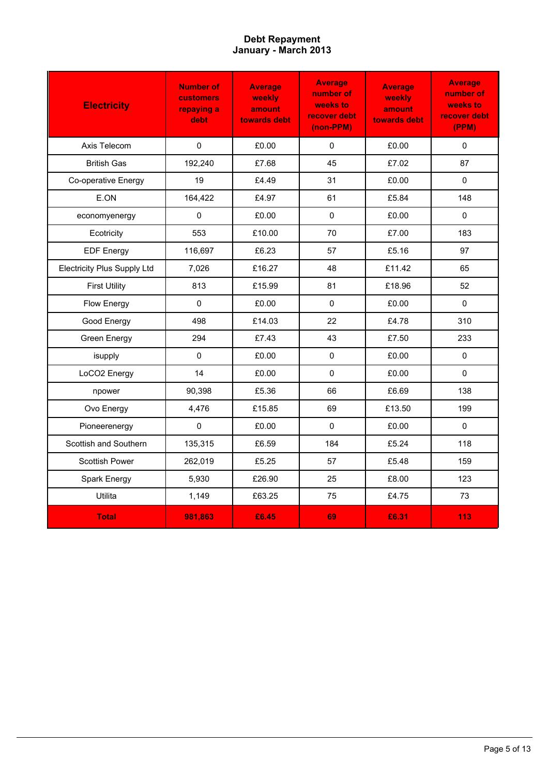# **January - March 2013 Debt Repayment**

| <b>Electricity</b>                 | <b>Number of</b><br><b>customers</b><br>repaying a<br>debt | <b>Average</b><br>weekly<br>amount<br>towards debt | <b>Average</b><br>number of<br>weeks to<br>recover debt<br>(non-PPM) | <b>Average</b><br>weekly<br>amount<br>towards debt | <b>Average</b><br>number of<br>weeks to<br>recover debt<br>(PPM) |
|------------------------------------|------------------------------------------------------------|----------------------------------------------------|----------------------------------------------------------------------|----------------------------------------------------|------------------------------------------------------------------|
| Axis Telecom                       | $\pmb{0}$                                                  | £0.00                                              | $\mathsf 0$                                                          | £0.00                                              | $\Omega$                                                         |
| <b>British Gas</b>                 | 192,240                                                    | £7.68                                              | 45                                                                   | £7.02                                              | 87                                                               |
| Co-operative Energy                | 19                                                         | £4.49                                              | 31                                                                   | £0.00                                              | $\Omega$                                                         |
| E.ON                               | 164,422                                                    | £4.97                                              | 61                                                                   | £5.84                                              | 148                                                              |
| economyenergy                      | 0                                                          | £0.00                                              | $\mathbf 0$                                                          | £0.00                                              | $\Omega$                                                         |
| Ecotricity                         | 553                                                        | £10.00                                             | 70                                                                   | £7.00                                              | 183                                                              |
| <b>EDF Energy</b>                  | 116,697                                                    | £6.23                                              | 57                                                                   | £5.16                                              | 97                                                               |
| <b>Electricity Plus Supply Ltd</b> | 7,026                                                      | £16.27                                             | 48                                                                   | £11.42                                             | 65                                                               |
| <b>First Utility</b>               | 813                                                        | £15.99                                             | 81                                                                   | £18.96                                             | 52                                                               |
| Flow Energy                        | 0                                                          | £0.00                                              | $\Omega$                                                             | £0.00                                              | $\Omega$                                                         |
| Good Energy                        | 498                                                        | £14.03                                             | 22                                                                   | £4.78                                              | 310                                                              |
| Green Energy                       | 294                                                        | £7.43                                              | 43                                                                   | £7.50                                              | 233                                                              |
| isupply                            | $\mathbf 0$                                                | £0.00                                              | $\Omega$                                                             | £0.00                                              | $\Omega$                                                         |
| LoCO2 Energy                       | 14                                                         | £0.00                                              | $\mathbf 0$                                                          | £0.00                                              | 0                                                                |
| npower                             | 90,398                                                     | £5.36                                              | 66                                                                   | £6.69                                              | 138                                                              |
| Ovo Energy                         | 4,476                                                      | £15.85                                             | 69                                                                   | £13.50                                             | 199                                                              |
| Pioneerenergy                      | $\pmb{0}$                                                  | £0.00                                              | $\Omega$                                                             | £0.00                                              | $\mathbf 0$                                                      |
| Scottish and Southern              | 135,315                                                    | £6.59                                              | 184                                                                  | £5.24                                              | 118                                                              |
| <b>Scottish Power</b>              | 262,019                                                    | £5.25                                              | 57                                                                   | £5.48                                              | 159                                                              |
| Spark Energy                       | 5,930                                                      | £26.90                                             | 25                                                                   | £8.00                                              | 123                                                              |
| Utilita                            | 1,149                                                      | £63.25                                             | 75                                                                   | £4.75                                              | 73                                                               |
| <b>Total</b>                       | 981,863                                                    | £6.45                                              | 69                                                                   | £6.31                                              | 113                                                              |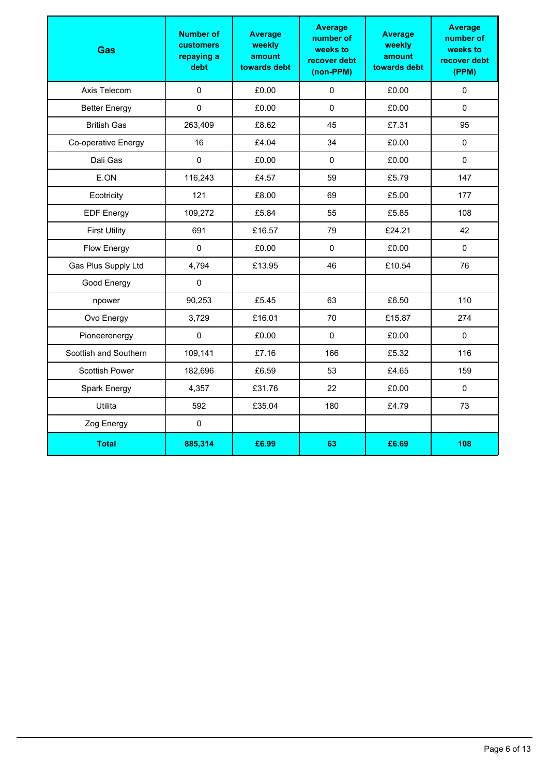| Gas                   | <b>Number of</b><br><b>customers</b><br>repaying a<br>debt | <b>Average</b><br>weekly<br>amount<br>towards debt | <b>Average</b><br>number of<br>weeks to<br>recover debt<br>(non-PPM) | <b>Average</b><br>weekly<br>amount<br>towards debt | <b>Average</b><br>number of<br>weeks to<br>recover debt<br>(PPM) |
|-----------------------|------------------------------------------------------------|----------------------------------------------------|----------------------------------------------------------------------|----------------------------------------------------|------------------------------------------------------------------|
| Axis Telecom          | $\mathbf 0$                                                | £0.00                                              | 0                                                                    | £0.00                                              | $\pmb{0}$                                                        |
| <b>Better Energy</b>  | 0                                                          | £0.00                                              | $\pmb{0}$                                                            | £0.00                                              | $\pmb{0}$                                                        |
| <b>British Gas</b>    | 263,409                                                    | £8.62                                              | 45                                                                   | £7.31                                              | 95                                                               |
| Co-operative Energy   | 16                                                         | £4.04                                              | 34                                                                   | £0.00                                              | $\mathbf 0$                                                      |
| Dali Gas              | $\mathbf 0$                                                | £0.00                                              | $\pmb{0}$                                                            | £0.00                                              | $\mathbf 0$                                                      |
| E.ON                  | 116,243                                                    | £4.57                                              | 59                                                                   | £5.79                                              | 147                                                              |
| Ecotricity            | 121                                                        | £8.00                                              | 69                                                                   | £5.00                                              | 177                                                              |
| <b>EDF Energy</b>     | 109,272                                                    | £5.84                                              | 55                                                                   | £5.85                                              | 108                                                              |
| <b>First Utility</b>  | 691                                                        | £16.57                                             | 79                                                                   | £24.21                                             | 42                                                               |
| <b>Flow Energy</b>    | 0                                                          | £0.00                                              | $\mathbf 0$                                                          | £0.00                                              | $\mathbf 0$                                                      |
| Gas Plus Supply Ltd   | 4,794                                                      | £13.95                                             | 46                                                                   | £10.54                                             | 76                                                               |
| Good Energy           | 0                                                          |                                                    |                                                                      |                                                    |                                                                  |
| npower                | 90,253                                                     | £5.45                                              | 63                                                                   | £6.50                                              | 110                                                              |
| Ovo Energy            | 3,729                                                      | £16.01                                             | 70                                                                   | £15.87                                             | 274                                                              |
| Pioneerenergy         | 0                                                          | £0.00                                              | $\mathsf 0$                                                          | £0.00                                              | $\mathsf 0$                                                      |
| Scottish and Southern | 109,141                                                    | £7.16                                              | 166                                                                  | £5.32                                              | 116                                                              |
| <b>Scottish Power</b> | 182,696                                                    | £6.59                                              | 53                                                                   | £4.65                                              | 159                                                              |
| Spark Energy          | 4,357                                                      | £31.76                                             | 22                                                                   | £0.00                                              | 0                                                                |
| Utilita               | 592                                                        | £35.04                                             | 180                                                                  | £4.79                                              | 73                                                               |
| Zog Energy            | $\mathbf 0$                                                |                                                    |                                                                      |                                                    |                                                                  |
| <b>Total</b>          | 885,314                                                    | £6.99                                              | 63                                                                   | £6.69                                              | 108                                                              |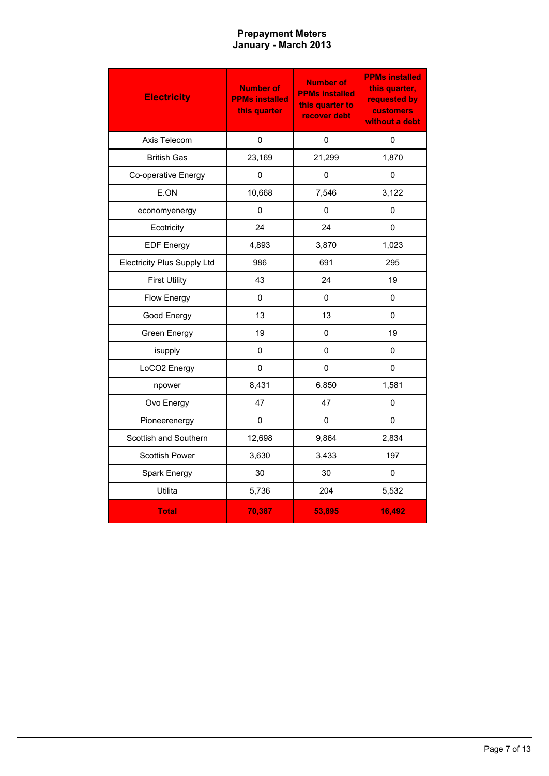## **January - March 2013 Prepayment Meters**

| <b>Electricity</b>                 | <b>Number of</b><br><b>PPMs installed</b><br>this quarter | <b>Number of</b><br><b>PPMs installed</b><br>this quarter to<br>recover debt | <b>PPMs installed</b><br>this quarter,<br>requested by<br><b>customers</b><br>without a debt |
|------------------------------------|-----------------------------------------------------------|------------------------------------------------------------------------------|----------------------------------------------------------------------------------------------|
| Axis Telecom                       | 0                                                         | 0                                                                            | 0                                                                                            |
| <b>British Gas</b>                 | 23,169                                                    | 21,299                                                                       | 1,870                                                                                        |
| Co-operative Energy                | 0                                                         | 0                                                                            | 0                                                                                            |
| E.ON                               | 10,668                                                    | 7,546                                                                        | 3,122                                                                                        |
| economyenergy                      | 0                                                         | 0                                                                            | 0                                                                                            |
| Ecotricity                         | 24                                                        | 24                                                                           | 0                                                                                            |
| <b>EDF Energy</b>                  | 4,893                                                     | 3,870                                                                        | 1,023                                                                                        |
| <b>Electricity Plus Supply Ltd</b> | 986                                                       | 691                                                                          | 295                                                                                          |
| <b>First Utility</b>               | 43                                                        | 24                                                                           | 19                                                                                           |
| <b>Flow Energy</b>                 | 0                                                         | $\Omega$                                                                     | 0                                                                                            |
| Good Energy                        | 13                                                        | 13                                                                           | 0                                                                                            |
| Green Energy                       | 19                                                        | $\Omega$                                                                     | 19                                                                                           |
| isupply                            | $\Omega$                                                  | $\Omega$                                                                     | $\Omega$                                                                                     |
| LoCO2 Energy                       | $\mathbf{0}$                                              | $\Omega$                                                                     | $\Omega$                                                                                     |
| npower                             | 8,431                                                     | 6,850                                                                        | 1,581                                                                                        |
| Ovo Energy                         | 47                                                        | 47                                                                           | 0                                                                                            |
| Pioneerenergy                      | 0                                                         | 0                                                                            | 0                                                                                            |
| Scottish and Southern              | 12,698                                                    | 9,864                                                                        | 2,834                                                                                        |
| Scottish Power                     | 3,630                                                     | 3,433                                                                        | 197                                                                                          |
| Spark Energy                       | 30                                                        | 30                                                                           | 0                                                                                            |
| Utilita                            | 5,736                                                     | 204                                                                          | 5,532                                                                                        |
| <b>Total</b>                       | 70,387                                                    | 53,895                                                                       | 16,492                                                                                       |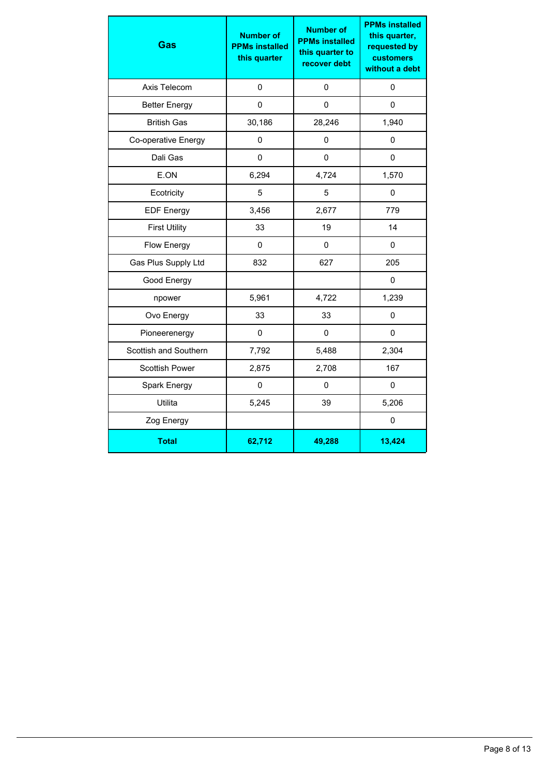| Gas                   | <b>Number of</b><br><b>PPMs installed</b><br>this quarter | <b>Number of</b><br><b>PPMs installed</b><br>this quarter to<br>recover debt | <b>PPMs installed</b><br>this quarter,<br>requested by<br><b>customers</b><br>without a debt |
|-----------------------|-----------------------------------------------------------|------------------------------------------------------------------------------|----------------------------------------------------------------------------------------------|
| Axis Telecom          | 0                                                         | 0                                                                            | 0                                                                                            |
| <b>Better Energy</b>  | 0                                                         | 0                                                                            | 0                                                                                            |
| <b>British Gas</b>    | 30,186                                                    | 28,246                                                                       | 1,940                                                                                        |
| Co-operative Energy   | 0                                                         | 0                                                                            | 0                                                                                            |
| Dali Gas              | 0                                                         | $\Omega$                                                                     | $\pmb{0}$                                                                                    |
| E.ON                  | 6,294                                                     | 4,724                                                                        | 1,570                                                                                        |
| Ecotricity            | 5                                                         | 5                                                                            | 0                                                                                            |
| <b>EDF Energy</b>     | 3,456                                                     | 2,677                                                                        | 779                                                                                          |
| <b>First Utility</b>  | 33                                                        | 19                                                                           | 14                                                                                           |
| <b>Flow Energy</b>    | 0                                                         | 0                                                                            | 0                                                                                            |
| Gas Plus Supply Ltd   | 832                                                       | 627                                                                          | 205                                                                                          |
| Good Energy           |                                                           |                                                                              | 0                                                                                            |
| npower                | 5,961                                                     | 4,722                                                                        | 1,239                                                                                        |
| Ovo Energy            | 33                                                        | 33                                                                           | 0                                                                                            |
| Pioneerenergy         | $\pmb{0}$                                                 | 0                                                                            | $\pmb{0}$                                                                                    |
| Scottish and Southern | 7,792                                                     | 5,488                                                                        | 2,304                                                                                        |
| <b>Scottish Power</b> | 2,875                                                     | 2,708                                                                        | 167                                                                                          |
| Spark Energy          | 0                                                         | 0                                                                            | 0                                                                                            |
| Utilita               | 5,245                                                     | 39                                                                           | 5,206                                                                                        |
| Zog Energy            |                                                           |                                                                              | $\mathbf 0$                                                                                  |
| <b>Total</b>          | 62,712                                                    | 49,288                                                                       | 13,424                                                                                       |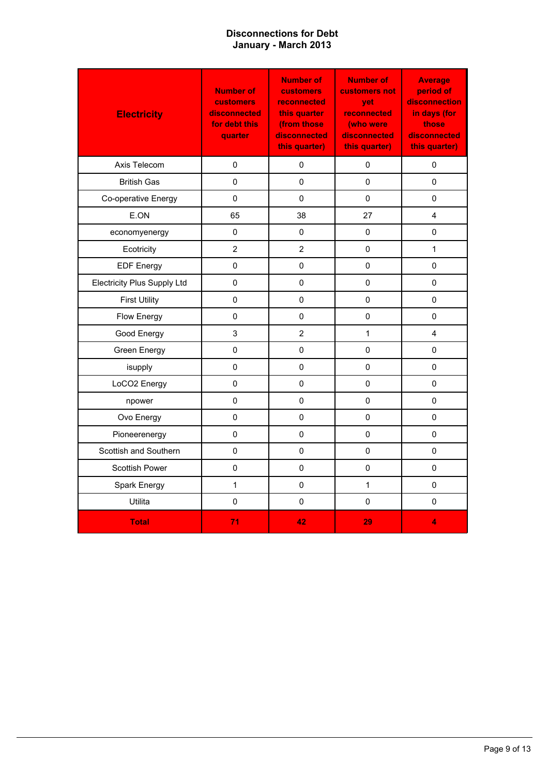### **January - March 2013 Disconnections for Debt**

| <b>Electricity</b>                 | <b>Number of</b><br><b>customers</b><br>disconnected<br>for debt this<br>quarter | <b>Number of</b><br><b>customers</b><br>reconnected<br>this quarter<br>(from those<br>disconnected<br>this quarter) | <b>Number of</b><br>customers not<br>vet<br>reconnected<br>(who were<br>disconnected<br>this quarter) | <b>Average</b><br>period of<br>disconnection<br>in days (for<br>those<br>disconnected<br>this quarter) |
|------------------------------------|----------------------------------------------------------------------------------|---------------------------------------------------------------------------------------------------------------------|-------------------------------------------------------------------------------------------------------|--------------------------------------------------------------------------------------------------------|
| Axis Telecom                       | 0                                                                                | 0                                                                                                                   | 0                                                                                                     | 0                                                                                                      |
| <b>British Gas</b>                 | 0                                                                                | $\pmb{0}$                                                                                                           | $\mathbf{0}$                                                                                          | $\mathbf 0$                                                                                            |
| Co-operative Energy                | 0                                                                                | 0                                                                                                                   | 0                                                                                                     | 0                                                                                                      |
| E.ON                               | 65                                                                               | 38                                                                                                                  | 27                                                                                                    | 4                                                                                                      |
| economyenergy                      | $\pmb{0}$                                                                        | 0                                                                                                                   | $\mathsf 0$                                                                                           | $\pmb{0}$                                                                                              |
| Ecotricity                         | $\overline{2}$                                                                   | $\overline{2}$                                                                                                      | $\Omega$                                                                                              | $\mathbf{1}$                                                                                           |
| <b>EDF Energy</b>                  | 0                                                                                | 0                                                                                                                   | 0                                                                                                     | 0                                                                                                      |
| <b>Electricity Plus Supply Ltd</b> | $\mathbf 0$                                                                      | $\pmb{0}$                                                                                                           | $\pmb{0}$                                                                                             | $\mathbf 0$                                                                                            |
| <b>First Utility</b>               | 0                                                                                | 0                                                                                                                   | 0                                                                                                     | 0                                                                                                      |
| Flow Energy                        | 0                                                                                | 0                                                                                                                   | 0                                                                                                     | 0                                                                                                      |
| Good Energy                        | 3                                                                                | $\overline{2}$                                                                                                      | $\mathbf{1}$                                                                                          | 4                                                                                                      |
| Green Energy                       | 0                                                                                | $\pmb{0}$                                                                                                           | $\Omega$                                                                                              | 0                                                                                                      |
| isupply                            | $\pmb{0}$                                                                        | 0                                                                                                                   | 0                                                                                                     | 0                                                                                                      |
| LoCO2 Energy                       | $\mathbf 0$                                                                      | $\pmb{0}$                                                                                                           | $\mathbf{0}$                                                                                          | $\mathbf 0$                                                                                            |
| npower                             | $\pmb{0}$                                                                        | $\mathsf 0$                                                                                                         | 0                                                                                                     | $\pmb{0}$                                                                                              |
| Ovo Energy                         | $\mathbf 0$                                                                      | $\mathbf{0}$                                                                                                        | $\mathbf{0}$                                                                                          | $\mathbf 0$                                                                                            |
| Pioneerenergy                      | 0                                                                                | $\mathbf 0$                                                                                                         | 0                                                                                                     | 0                                                                                                      |
| Scottish and Southern              | 0                                                                                | 0                                                                                                                   | $\pmb{0}$                                                                                             | 0                                                                                                      |
| Scottish Power                     | $\pmb{0}$                                                                        | $\mathbf 0$                                                                                                         | 0                                                                                                     | 0                                                                                                      |
| Spark Energy                       | $\mathbf{1}$                                                                     | $\pmb{0}$                                                                                                           | $\mathbf{1}$                                                                                          | 0                                                                                                      |
| Utilita                            | $\pmb{0}$                                                                        | 0                                                                                                                   | 0                                                                                                     | $\pmb{0}$                                                                                              |
| <b>Total</b>                       | 71                                                                               | 42                                                                                                                  | 29                                                                                                    | 4                                                                                                      |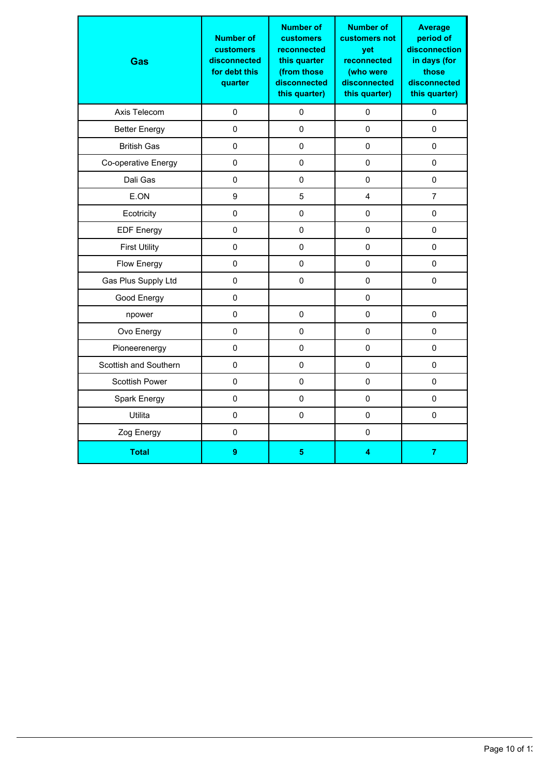| Gas                   | <b>Number of</b><br><b>customers</b><br>disconnected<br>for debt this<br>quarter | <b>Number of</b><br><b>customers</b><br>reconnected<br>this quarter<br>(from those<br>disconnected<br>this quarter) | <b>Number of</b><br>customers not<br>yet<br>reconnected<br>(who were<br>disconnected<br>this quarter) | <b>Average</b><br>period of<br>disconnection<br>in days (for<br>those<br>disconnected<br>this quarter) |
|-----------------------|----------------------------------------------------------------------------------|---------------------------------------------------------------------------------------------------------------------|-------------------------------------------------------------------------------------------------------|--------------------------------------------------------------------------------------------------------|
| Axis Telecom          | 0                                                                                | 0                                                                                                                   | 0                                                                                                     | 0                                                                                                      |
| <b>Better Energy</b>  | 0                                                                                | 0                                                                                                                   | 0                                                                                                     | 0                                                                                                      |
| <b>British Gas</b>    | $\mathsf 0$                                                                      | $\mathbf 0$                                                                                                         | $\mathbf 0$                                                                                           | 0                                                                                                      |
| Co-operative Energy   | 0                                                                                | $\mathbf 0$                                                                                                         | 0                                                                                                     | $\mathbf 0$                                                                                            |
| Dali Gas              | $\mathbf 0$                                                                      | $\mathbf 0$                                                                                                         | $\mathbf 0$                                                                                           | $\mathbf 0$                                                                                            |
| E.ON                  | 9                                                                                | 5                                                                                                                   | 4                                                                                                     | $\overline{7}$                                                                                         |
| Ecotricity            | $\mathbf 0$                                                                      | 0                                                                                                                   | 0                                                                                                     | 0                                                                                                      |
| <b>EDF Energy</b>     | $\mathbf 0$                                                                      | $\mathbf 0$                                                                                                         | $\mathbf 0$                                                                                           | 0                                                                                                      |
| <b>First Utility</b>  | $\mathbf 0$                                                                      | $\mathbf 0$                                                                                                         | 0                                                                                                     | $\mathbf 0$                                                                                            |
| Flow Energy           | $\mathsf 0$                                                                      | $\mathbf 0$                                                                                                         | $\mathbf 0$                                                                                           | $\mathbf 0$                                                                                            |
| Gas Plus Supply Ltd   | $\pmb{0}$                                                                        | 0                                                                                                                   | 0                                                                                                     | 0                                                                                                      |
| Good Energy           | 0                                                                                |                                                                                                                     | 0                                                                                                     |                                                                                                        |
| npower                | $\mathbf 0$                                                                      | 0                                                                                                                   | $\mathbf 0$                                                                                           | $\mathbf 0$                                                                                            |
| Ovo Energy            | $\mathbf 0$                                                                      | $\mathbf 0$                                                                                                         | $\mathbf 0$                                                                                           | 0                                                                                                      |
| Pioneerenergy         | 0                                                                                | 0                                                                                                                   | 0                                                                                                     | 0                                                                                                      |
| Scottish and Southern | 0                                                                                | 0                                                                                                                   | 0                                                                                                     | 0                                                                                                      |
| Scottish Power        | $\mathbf 0$                                                                      | $\mathbf 0$                                                                                                         | $\mathbf 0$                                                                                           | $\mathbf 0$                                                                                            |
| Spark Energy          | $\mathbf 0$                                                                      | $\mathbf 0$                                                                                                         | $\pmb{0}$                                                                                             | $\mathbf 0$                                                                                            |
| Utilita               | 0                                                                                | 0                                                                                                                   | 0                                                                                                     | 0                                                                                                      |
| Zog Energy            | 0                                                                                |                                                                                                                     | 0                                                                                                     |                                                                                                        |
| <b>Total</b>          | 9                                                                                | 5                                                                                                                   | 4                                                                                                     | $\overline{7}$                                                                                         |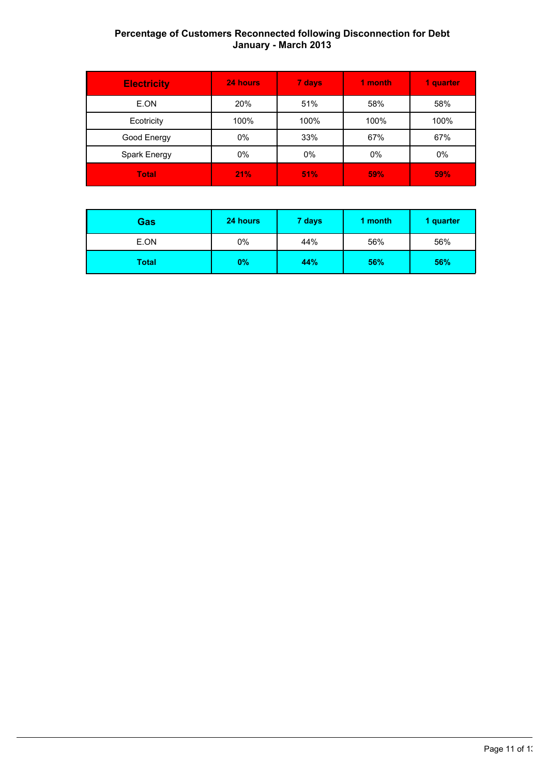## **January - March 2013 Percentage of Customers Reconnected following Disconnection for Debt**

| <b>Electricity</b> | 24 hours | 7 days | 1 month | 1 quarter  |
|--------------------|----------|--------|---------|------------|
| E.ON               | 20%      | 51%    | 58%     | 58%        |
| Ecotricity         | 100%     | 100%   | 100%    | 100%       |
| Good Energy        | $0\%$    | 33%    | 67%     | 67%        |
| Spark Energy       | 0%       | 0%     | 0%      | 0%         |
| <b>Total</b>       | 21%      | 51%    | 59%     | <b>59%</b> |

| <b>Gas</b> | 24 hours | 7 days | 1 month | 1 quarter |
|------------|----------|--------|---------|-----------|
| E.ON       | 0%       | 44%    | 56%     | 56%       |
| Total      | 0%       | 44%    | 56%     | 56%       |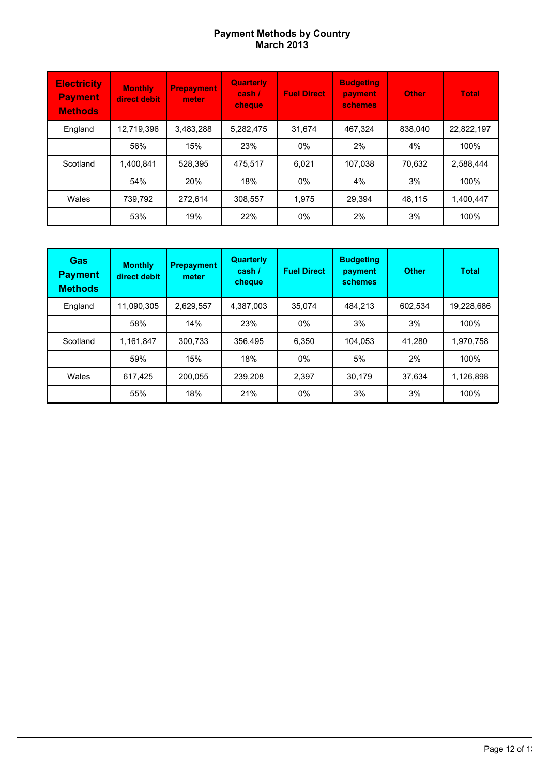#### **March 2013 Payment Methods by Country**

| <b>Electricity</b><br><b>Payment</b><br><b>Methods</b> | <b>Monthly</b><br>direct debit | <b>Prepayment</b><br>meter | <b>Quarterly</b><br>$\cosh t$<br><b>cheque</b> | <b>Fuel Direct</b> | <b>Budgeting</b><br>payment<br><b>schemes</b> | <b>Other</b> | <b>Total</b> |
|--------------------------------------------------------|--------------------------------|----------------------------|------------------------------------------------|--------------------|-----------------------------------------------|--------------|--------------|
| England                                                | 12.719.396                     | 3,483,288                  | 5.282.475                                      | 31.674             | 467.324                                       | 838.040      | 22,822,197   |
|                                                        | 56%                            | 15%                        | 23%                                            | $0\%$              | 2%                                            | 4%           | 100%         |
| Scotland                                               | 1.400.841                      | 528,395                    | 475.517                                        | 6.021              | 107,038                                       | 70.632       | 2,588,444    |
|                                                        | 54%                            | <b>20%</b>                 | 18%                                            | $0\%$              | 4%                                            | 3%           | 100%         |
| Wales                                                  | 739.792                        | 272.614                    | 308.557                                        | 1.975              | 29.394                                        | 48.115       | 1,400,447    |
|                                                        | 53%                            | 19%                        | 22%                                            | $0\%$              | 2%                                            | 3%           | 100%         |

| <b>Gas</b><br><b>Payment</b><br><b>Methods</b> | <b>Monthly</b><br>direct debit | <b>Prepayment</b><br>meter | <b>Quarterly</b><br>cash /<br>cheque | <b>Fuel Direct</b> | <b>Budgeting</b><br>payment<br>schemes | <b>Other</b> | <b>Total</b> |
|------------------------------------------------|--------------------------------|----------------------------|--------------------------------------|--------------------|----------------------------------------|--------------|--------------|
| England                                        | 11.090.305                     | 2,629,557                  | 4.387.003                            | 35.074             | 484.213                                | 602.534      | 19,228,686   |
|                                                | 58%                            | 14%                        | 23%                                  | $0\%$              | 3%                                     | 3%           | 100%         |
| Scotland                                       | 1,161,847                      | 300,733                    | 356.495                              | 6.350              | 104,053                                | 41.280       | 1,970,758    |
|                                                | 59%                            | 15%                        | 18%                                  | $0\%$              | 5%                                     | 2%           | 100%         |
| Wales                                          | 617.425                        | 200.055                    | 239.208                              | 2.397              | 30.179                                 | 37.634       | 1,126,898    |
|                                                | 55%                            | 18%                        | 21%                                  | $0\%$              | 3%                                     | 3%           | 100%         |